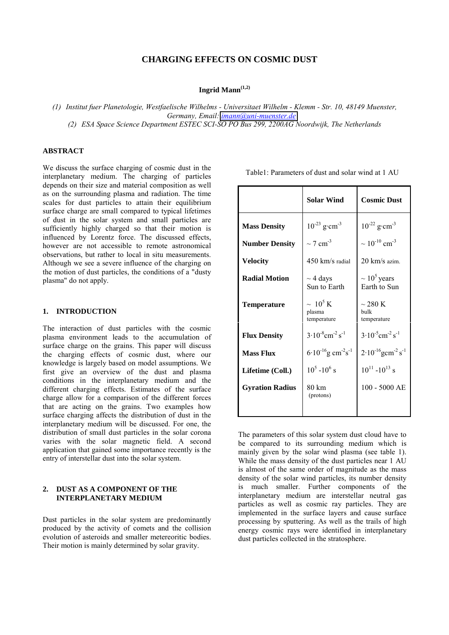# **CHARGING EFFECTS ON COSMIC DUST**

**Ingrid Mann(1,2)**

*(1) Institut fuer Planetologie, Westfaelische Wilhelms - Universitaet Wilhelm - Klemm - Str. 10, 48149 Muenster, Germany, Email: [imann@uni-muenster.de](mailto:imann@uni-muenster.de)*

*(2) ESA Space Science Department ESTEC SCI-SO PO Bus 299, 2200AG Noordwijk, The Netherlands*

#### **ABSTRACT**

We discuss the surface charging of cosmic dust in the interplanetary medium. The charging of particles depends on their size and material composition as well as on the surrounding plasma and radiation. The time scales for dust particles to attain their equilibrium surface charge are small compared to typical lifetimes of dust in the solar system and small particles are sufficiently highly charged so that their motion is influenced by Lorentz force. The discussed effects, however are not accessible to remote astronomical observations, but rather to local in situ measurements. Although we see a severe influence of the charging on the motion of dust particles, the conditions of a "dusty plasma" do not apply.

### **1. INTRODUCTION**

The interaction of dust particles with the cosmic plasma environment leads to the accumulation of surface charge on the grains. This paper will discuss the charging effects of cosmic dust, where our knowledge is largely based on model assumptions. We first give an overview of the dust and plasma conditions in the interplanetary medium and the different charging effects. Estimates of the surface charge allow for a comparison of the different forces that are acting on the grains. Two examples how surface charging affects the distribution of dust in the interplanetary medium will be discussed. For one, the distribution of small dust particles in the solar corona varies with the solar magnetic field. A second application that gained some importance recently is the entry of interstellar dust into the solar system.

### **2. DUST AS A COMPONENT OF THE INTERPLANETARY MEDIUM**

Dust particles in the solar system are predominantly produced by the activity of comets and the collision evolution of asteroids and smaller metereoritic bodies. Their motion is mainly determined by solar gravity.

|                        | <b>Solar Wind</b>                                 | <b>Cosmic Dust</b>                             |
|------------------------|---------------------------------------------------|------------------------------------------------|
| <b>Mass Density</b>    | $10^{-23}$ g·cm <sup>-3</sup>                     | $10^{-22}$ g·cm <sup>-3</sup>                  |
| <b>Number Density</b>  | $\sim$ 7 cm <sup>-3</sup>                         | $\sim 10^{-10}$ cm <sup>-3</sup>               |
| <b>Velocity</b>        | $450$ km/s radial                                 | 20 km/s azim.                                  |
| <b>Radial Motion</b>   | $\sim$ 4 days<br>Sun to Earth                     | $\sim 10^5$ years<br>Earth to Sun              |
| <b>Temperature</b>     | $\sim 10^5 \,\mathrm{K}$<br>plasma<br>temperature | $\sim$ 280 K<br>bulk<br>temperature            |
| <b>Flux Density</b>    | $3.10^{-8}$ cm <sup>-2</sup> s <sup>-1</sup>      | $3.10^{-5}$ cm <sup>-2</sup> s <sup>-1</sup>   |
| <b>Mass Flux</b>       | $6.10^{-16}$ g cm <sup>-2</sup> s <sup>-1</sup>   | $2.10^{-16}$ gcm <sup>-2</sup> s <sup>-1</sup> |
| Lifetime (Coll.)       | $10^5 - 10^6$ s                                   | $10^{11} - 10^{13}$ s                          |
| <b>Gyration Radius</b> | 80 km<br>(protons)                                | $100 - 5000$ AE                                |
|                        |                                                   |                                                |

The parameters of this solar system dust cloud have to be compared to its surrounding medium which is mainly given by the solar wind plasma (see table 1). While the mass density of the dust particles near 1 AU is almost of the same order of magnitude as the mass density of the solar wind particles, its number density is much smaller. Further components of the interplanetary medium are interstellar neutral gas particles as well as cosmic ray particles. They are implemented in the surface layers and cause surface processing by sputtering. As well as the trails of high energy cosmic rays were identified in interplanetary dust particles collected in the stratosphere.

Table1: Parameters of dust and solar wind at 1 AU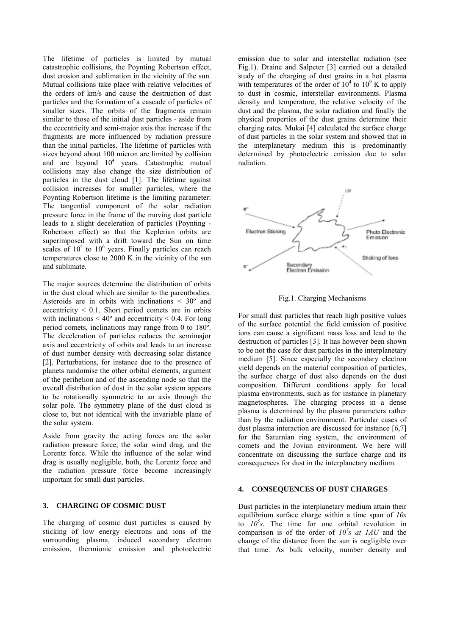The lifetime of particles is limited by mutual catastrophic collisions, the Poynting Robertson effect, dust erosion and sublimation in the vicinity of the sun. Mutual collisions take place with relative velocities of the orders of km/s and cause the destruction of dust particles and the formation of a cascade of particles of smaller sizes. The orbits of the fragments remain similar to those of the initial dust particles - aside from the eccentricity and semi-major axis that increase if the fragments are more influenced by radiation pressure than the initial particles. The lifetime of particles with sizes beyond about 100 micron are limited by collision and are beyond  $10^4$  years. Catastrophic mutual collisions may also change the size distribution of particles in the dust cloud [1]. The lifetime against collision increases for smaller particles, where the Poynting Robertson lifetime is the limiting parameter: The tangential component of the solar radiation pressure force in the frame of the moving dust particle leads to a slight deceleration of particles (Poynting - Robertson effect) so that the Keplerian orbits are superimposed with a drift toward the Sun on time scales of  $10^4$  to  $10^6$  years. Finally particles can reach temperatures close to 2000 K in the vicinity of the sun and sublimate.

The major sources determine the distribution of orbits in the dust cloud which are similar to the parentbodies. Asteroids are in orbits with inclinations < 30º and eccentricity  $\leq 0.1$ . Short period comets are in orbits with inclinations  $\leq 40^{\circ}$  and eccentricity  $\leq 0.4$ . For long period comets, inclinations may range from 0 to 180º. The deceleration of particles reduces the semimajor axis and eccentricity of orbits and leads to an increase of dust number density with decreasing solar distance [2]. Perturbations, for instance due to the presence of planets randomise the other orbital elements, argument of the perihelion and of the ascending node so that the overall distribution of dust in the solar system appears to be rotationally symmetric to an axis through the solar pole. The symmetry plane of the dust cloud is close to, but not identical with the invariable plane of the solar system.

Aside from gravity the acting forces are the solar radiation pressure force, the solar wind drag, and the Lorentz force. While the influence of the solar wind drag is usually negligible, both, the Lorentz force and the radiation pressure force become increasingly important for small dust particles.

#### **3. CHARGING OF COSMIC DUST**

The charging of cosmic dust particles is caused by sticking of low energy electrons and ions of the surrounding plasma, induced secondary electron emission, thermionic emission and photoelectric emission due to solar and interstellar radiation (see Fig.1). Draine and Salpeter [3] carried out a detailed study of the charging of dust grains in a hot plasma with temperatures of the order of  $10^4$  to  $10^9$  K to apply to dust in cosmic, interstellar environments. Plasma density and temperature, the relative velocity of the dust and the plasma, the solar radiation and finally the physical properties of the dust grains determine their charging rates. Mukai [4] calculated the surface charge of dust particles in the solar system and showed that in the interplanetary medium this is predominantly determined by photoelectric emission due to solar radiation.





For small dust particles that reach high positive values of the surface potential the field emission of positive ions can cause a significant mass loss and lead to the destruction of particles [3]. It has however been shown to be not the case for dust particles in the interplanetary medium [5]. Since especially the secondary electron yield depends on the material composition of particles, the surface charge of dust also depends on the dust composition. Different conditions apply for local plasma environments, such as for instance in planetary magnetospheres. The charging process in a dense plasma is determined by the plasma parameters rather than by the radiation environment. Particular cases of dust plasma interaction are discussed for instance [6,7] for the Saturnian ring system, the environment of comets and the Jovian environment. We here will concentrate on discussing the surface charge and its consequences for dust in the interplanetary medium.

## **4. CONSEQUENCES OF DUST CHARGES**

Dust particles in the interplanetary medium attain their equilibrium surface charge within a time span of *10s* to  $10^5$ s. The time for one orbital revolution in comparison is of the order of  $10^7s$  at  $1AU$  and the change of the distance from the sun is negligible over that time. As bulk velocity, number density and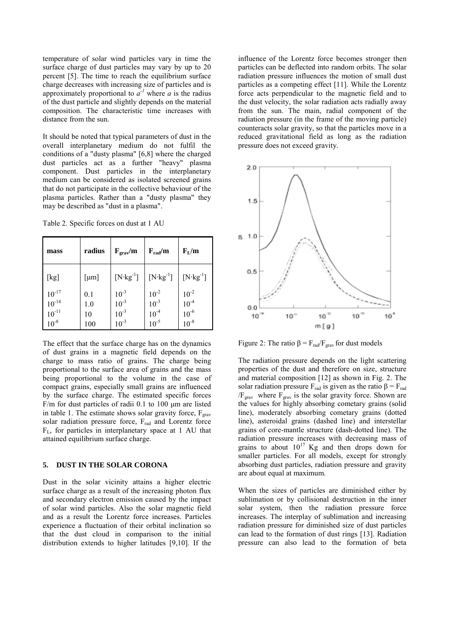temperature of solar wind particles vary in time the surface charge of dust particles may vary by up to 20 percent [5]. The time to reach the equilibrium surface charge decreases with increasing size of particles and is approximately proportional to  $a^{-1}$  where *a* is the radius of the dust particle and slightly depends on the material composition. The characteristic time increases with distance from the sun.

It should be noted that typical parameters of dust in the overall interplanetary medium do not fulfil the conditions of a "dusty plasma" [6,8] where the charged dust particles act as a further "heavy" plasma component. Dust particles in the interplanetary medium can be considered as isolated screened grains that do not participate in the collective behaviour of the plasma particles. Rather than a "dusty plasma" they may be described as "dust in a plasma".

Table 2. Specific forces on dust at 1 AU

| mass                                                | radius                  | $F_{\rm grav}/m$                                 | $F_{rad}/m$                                                            | $F_{L}/m$                                                               |
|-----------------------------------------------------|-------------------------|--------------------------------------------------|------------------------------------------------------------------------|-------------------------------------------------------------------------|
| [kg]                                                | [µm]                    | $[N \cdot kg^{-1}]$                              | $[N \cdot kg^{-1}]$                                                    | $[N \cdot kg^{-1}]$                                                     |
| $10^{-17}$<br>$10^{-14}$<br>$10^{-11}$<br>$10^{-8}$ | 0.1<br>1.0<br>10<br>100 | $10^{-3}$<br>$10^{-3}$<br>$10^{-3}$<br>$10^{-3}$ | $\begin{array}{l} 10^{-2}\\ 10^{-3}\\ 10^{-4}\\ 10^{-5}\\ \end{array}$ | $\begin{array}{l} 10^{-2} \\ 10^{-4} \\ 10^{-6} \\ 10^{-8} \end{array}$ |

The effect that the surface charge has on the dynamics of dust grains in a magnetic field depends on the charge to mass ratio of grains. The charge being proportional to the surface area of grains and the mass being proportional to the volume in the case of compact grains, especially small grains are influenced by the surface charge. The estimated specific forces F/m for dust particles of radii 0.1 to 100 μm are listed in table 1. The estimate shows solar gravity force,  $F_{grav}$ solar radiation pressure force, Frad and Lorentz force FL, for particles in interplanetary space at 1 AU that attained equilibrium surface charge.

# **5. DUST IN THE SOLAR CORONA**

Dust in the solar vicinity attains a higher electric surface charge as a result of the increasing photon flux and secondary electron emission caused by the impact of solar wind particles. Also the solar magnetic field and as a result the Lorentz force increases. Particles experience a fluctuation of their orbital inclination so that the dust cloud in comparison to the initial distribution extends to higher latitudes [9,10]. If the

influence of the Lorentz force becomes stronger then particles can be deflected into random orbits. The solar radiation pressure influences the motion of small dust particles as a competing effect [11]. While the Lorentz force acts perpendicular to the magnetic field and to the dust velocity, the solar radiation acts radially away from the sun. The main, radial component of the radiation pressure (in the frame of the moving particle) counteracts solar gravity, so that the particles move in a reduced gravitational field as long as the radiation pressure does not exceed gravity.



Figure 2: The ratio  $\beta = F_{rad}/F_{grav}$  for dust models

The radiation pressure depends on the light scattering properties of the dust and therefore on size, structure and material composition [12] as shown in Fig. 2. The solar radiation pressure  $F_{rad}$  is given as the ratio  $\beta = F_{rad}$  $/F_{\text{grav}}$  where  $F_{\text{grav}}$  is the solar gravity force. Shown are the values for highly absorbing cometary grains (solid line), moderately absorbing cometary grains (dotted line), asteroidal grains (dashed line) and interstellar grains of core-mantle structure (dash-dotted line). The radiation pressure increases with decreasing mass of grains to about  $10^{17}$  Kg and then drops down for smaller particles. For all models, except for strongly absorbing dust particles, radiation pressure and gravity are about equal at maximum.

When the sizes of particles are diminished either by sublimation or by collisional destruction in the inner solar system, then the radiation pressure force increases. The interplay of sublimation and increasing radiation pressure for diminished size of dust particles can lead to the formation of dust rings [13]. Radiation pressure can also lead to the formation of beta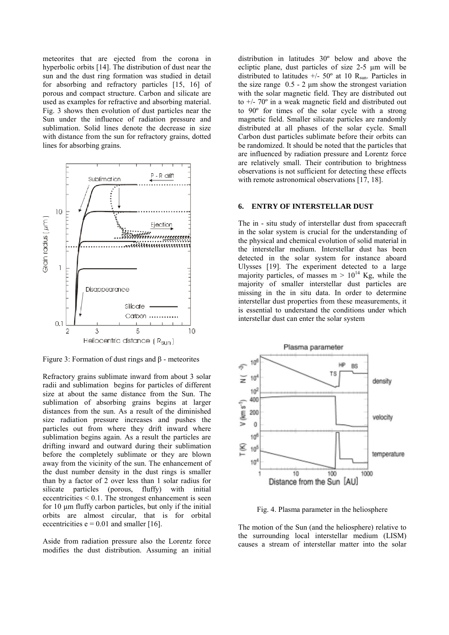meteorites that are ejected from the corona in hyperbolic orbits [14]. The distribution of dust near the sun and the dust ring formation was studied in detail for absorbing and refractory particles [15, 16] of porous and compact structure. Carbon and silicate are used as examples for refractive and absorbing material. Fig. 3 shows then evolution of dust particles near the Sun under the influence of radiation pressure and sublimation. Solid lines denote the decrease in size with distance from the sun for refractory grains, dotted lines for absorbing grains.



Figure 3: Formation of dust rings and β - meteorites

Refractory grains sublimate inward from about 3 solar radii and sublimation begins for particles of different size at about the same distance from the Sun. The sublimation of absorbing grains begins at larger distances from the sun. As a result of the diminished size radiation pressure increases and pushes the particles out from where they drift inward where sublimation begins again. As a result the particles are drifting inward and outward during their sublimation before the completely sublimate or they are blown away from the vicinity of the sun. The enhancement of the dust number density in the dust rings is smaller than by a factor of 2 over less than 1 solar radius for silicate particles (porous, fluffy) with initial eccentricities < 0.1. The strongest enhancement is seen for 10 μm fluffy carbon particles, but only if the initial orbits are almost circular, that is for orbital eccentricities  $e = 0.01$  and smaller [16].

Aside from radiation pressure also the Lorentz force modifies the dust distribution. Assuming an initial distribution in latitudes 30º below and above the ecliptic plane, dust particles of size 2-5 μm will be distributed to latitudes  $+/- 50^{\circ}$  at 10 R<sub>sun</sub>. Particles in the size range  $0.5 - 2 \mu m$  show the strongest variation with the solar magnetic field. They are distributed out to  $+/- 70^{\circ}$  in a weak magnetic field and distributed out to 90º for times of the solar cycle with a strong magnetic field. Smaller silicate particles are randomly distributed at all phases of the solar cycle. Small Carbon dust particles sublimate before their orbits can be randomized. It should be noted that the particles that are influenced by radiation pressure and Lorentz force are relatively small. Their contribution to brightness observations is not sufficient for detecting these effects with remote astronomical observations [17, 18].

#### **6. ENTRY OF INTERSTELLAR DUST**

The in - situ study of interstellar dust from spacecraft in the solar system is crucial for the understanding of the physical and chemical evolution of solid material in the interstellar medium. Interstellar dust has been detected in the solar system for instance aboard Ulysses [19]. The experiment detected to a large majority particles, of masses  $m > 10^{14}$  Kg, while the majority of smaller interstellar dust particles are missing in the in situ data. In order to determine interstellar dust properties from these measurements, it is essential to understand the conditions under which interstellar dust can enter the solar system



Fig. 4. Plasma parameter in the heliosphere

The motion of the Sun (and the heliosphere) relative to the surrounding local interstellar medium (LISM) causes a stream of interstellar matter into the solar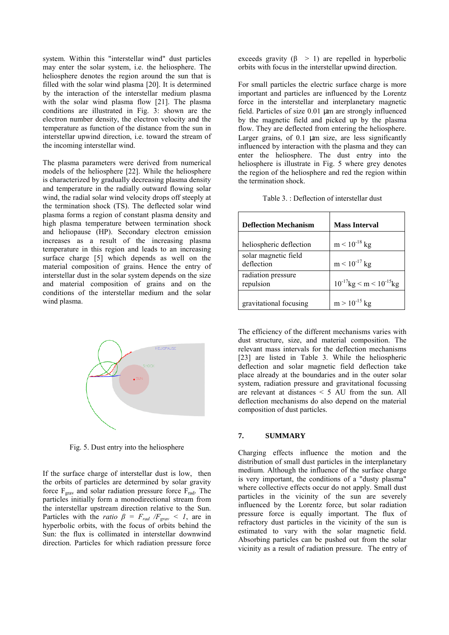system. Within this "interstellar wind" dust particles may enter the solar system, i.e. the heliosphere. The heliosphere denotes the region around the sun that is filled with the solar wind plasma [20]. It is determined by the interaction of the interstellar medium plasma with the solar wind plasma flow [21]. The plasma conditions are illustrated in Fig. 3: shown are the electron number density, the electron velocity and the temperature as function of the distance from the sun in interstellar upwind direction, i.e. toward the stream of the incoming interstellar wind.

The plasma parameters were derived from numerical models of the heliosphere [22]. While the heliosphere is characterized by gradually decreasing plasma density and temperature in the radially outward flowing solar wind, the radial solar wind velocity drops off steeply at the termination shock (TS). The deflected solar wind plasma forms a region of constant plasma density and high plasma temperature between termination shock and heliopause (HP). Secondary electron emission increases as a result of the increasing plasma temperature in this region and leads to an increasing surface charge [5] which depends as well on the material composition of grains. Hence the entry of interstellar dust in the solar system depends on the size and material composition of grains and on the conditions of the interstellar medium and the solar wind plasma.



Fig. 5. Dust entry into the heliosphere

If the surface charge of interstellar dust is low, then the orbits of particles are determined by solar gravity force  $F_{grav}$  and solar radiation pressure force  $F_{rad}$ . The particles initially form a monodirectional stream from the interstellar upstream direction relative to the Sun. Particles with the *ratio*  $\beta = F_{rad} / F_{grav} < 1$ , are in hyperbolic orbits, with the focus of orbits behind the Sun: the flux is collimated in interstellar downwind direction. Particles for which radiation pressure force

exceeds gravity  $(\beta > 1)$  are repelled in hyperbolic orbits with focus in the interstellar upwind direction.

For small particles the electric surface charge is more important and particles are influenced by the Lorentz force in the interstellar and interplanetary magnetic field. Particles of size 0.01 µm are strongly influenced by the magnetic field and picked up by the plasma flow. They are deflected from entering the heliosphere. Larger grains, of 0.1 um size, are less significantly influenced by interaction with the plasma and they can enter the heliosphere. The dust entry into the heliosphere is illustrate in Fig. 5 where grey denotes the region of the heliosphere and red the region within the termination shock.

| Table 3.: Deflection of interstellar dust |  |
|-------------------------------------------|--|
|-------------------------------------------|--|

| <b>Deflection Mechanism</b>        | <b>Mass Interval</b>              |
|------------------------------------|-----------------------------------|
| heliospheric deflection            | $m < 10^{-18}$ kg                 |
| solar magnetic field<br>deflection | $m < 10^{-17}$ kg                 |
| radiation pressure<br>repulsion    | $10^{-17}$ kg < m < $10^{-15}$ kg |
| gravitational focusing             | $m > 10^{-15}$ kg                 |

The efficiency of the different mechanisms varies with dust structure, size, and material composition. The relevant mass intervals for the deflection mechanisms [23] are listed in Table 3. While the heliospheric deflection and solar magnetic field deflection take place already at the boundaries and in the outer solar system, radiation pressure and gravitational focussing are relevant at distances < 5 AU from the sun. All deflection mechanisms do also depend on the material composition of dust particles.

# **7. SUMMARY**

Charging effects influence the motion and the distribution of small dust particles in the interplanetary medium. Although the influence of the surface charge is very important, the conditions of a "dusty plasma" where collective effects occur do not apply. Small dust particles in the vicinity of the sun are severely influenced by the Lorentz force, but solar radiation pressure force is equally important. The flux of refractory dust particles in the vicinity of the sun is estimated to vary with the solar magnetic field. Absorbing particles can be pushed out from the solar vicinity as a result of radiation pressure. The entry of